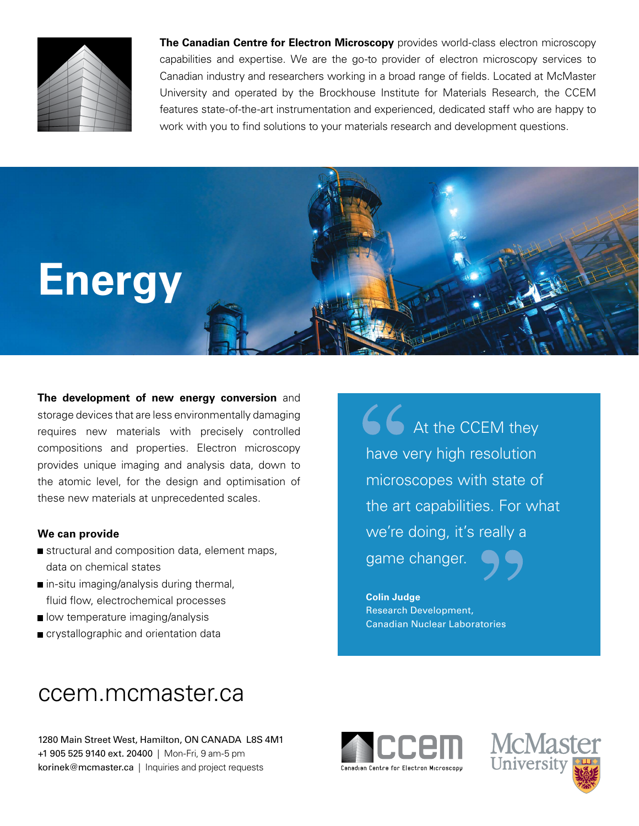

**The Canadian Centre for Electron Microscopy** provides world-class electron microscopy capabilities and expertise. We are the go-to provider of electron microscopy services to Canadian industry and researchers working in a broad range of fields. Located at McMaster University and operated by the Brockhouse Institute for Materials Research, the CCEM features state-of-the-art instrumentation and experienced, dedicated staff who are happy to work with you to find solutions to your materials research and development questions.



**The development of new energy conversion** and storage devices that are less environmentally damaging requires new materials with precisely controlled compositions and properties. Electron microscopy provides unique imaging and analysis data, down to the atomic level, for the design and optimisation of these new materials at unprecedented scales.

## **We can provide**

- structural and composition data, element maps, data on chemical states
- in-situ imaging/analysis during thermal, fluid flow, electrochemical processes
- **I** low temperature imaging/analysis
- crystallographic and orientation data

66 At the CCEM they have very high resolution microscopes with state of the art capabilities. For what we're doing, it's really a game changer.

**Colin Judge**  Research Development, Canadian Nuclear Laboratories

## ccem.mcmaster.ca

1280 Main Street West, Hamilton, ON CANADA L8S 4M1 +1 905 525 9140 ext. 20400 | Mon-Fri, 9 am-5 pm korinek@mcmaster.ca | Inquiries and project requests